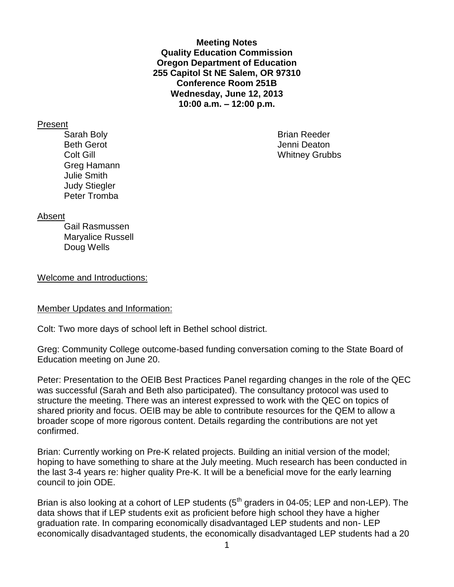**Meeting Notes Quality Education Commission Oregon Department of Education 255 Capitol St NE Salem, OR 97310 Conference Room 251B Wednesday, June 12, 2013 10:00 a.m. – 12:00 p.m.**

Present

Sarah Boly **Brian Reeder Brian Reeder** Beth Gerot **Gerot** Communication of the United States of the United States of the United States of the United States of the United States of the United States of the United States of the United States of the United States Greg Hamann Julie Smith Judy Stiegler Peter Tromba

**Colt Gill** Whitney Grubbs

#### Absent

Gail Rasmussen Maryalice Russell Doug Wells

Welcome and Introductions:

#### Member Updates and Information:

Colt: Two more days of school left in Bethel school district.

Greg: Community College outcome-based funding conversation coming to the State Board of Education meeting on June 20.

Peter: Presentation to the OEIB Best Practices Panel regarding changes in the role of the QEC was successful (Sarah and Beth also participated). The consultancy protocol was used to structure the meeting. There was an interest expressed to work with the QEC on topics of shared priority and focus. OEIB may be able to contribute resources for the QEM to allow a broader scope of more rigorous content. Details regarding the contributions are not yet confirmed.

Brian: Currently working on Pre-K related projects. Building an initial version of the model; hoping to have something to share at the July meeting. Much research has been conducted in the last 3-4 years re: higher quality Pre-K. It will be a beneficial move for the early learning council to join ODE.

Brian is also looking at a cohort of LEP students  $(5<sup>th</sup>$  graders in 04-05; LEP and non-LEP). The data shows that if LEP students exit as proficient before high school they have a higher graduation rate. In comparing economically disadvantaged LEP students and non- LEP economically disadvantaged students, the economically disadvantaged LEP students had a 20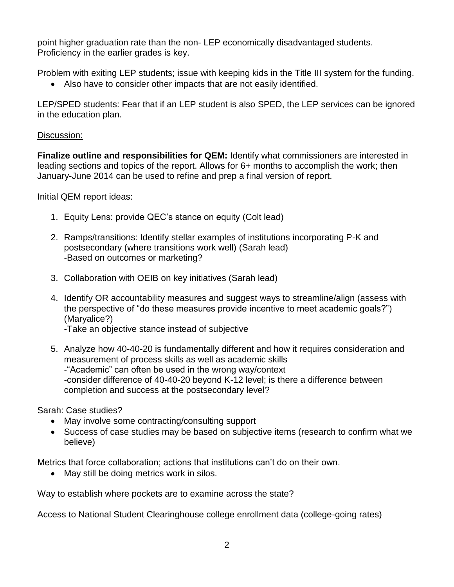point higher graduation rate than the non- LEP economically disadvantaged students. Proficiency in the earlier grades is key.

Problem with exiting LEP students; issue with keeping kids in the Title III system for the funding.

Also have to consider other impacts that are not easily identified.

LEP/SPED students: Fear that if an LEP student is also SPED, the LEP services can be ignored in the education plan.

# Discussion:

**Finalize outline and responsibilities for QEM:** Identify what commissioners are interested in leading sections and topics of the report. Allows for 6+ months to accomplish the work; then January-June 2014 can be used to refine and prep a final version of report.

Initial QEM report ideas:

- 1. Equity Lens: provide QEC's stance on equity (Colt lead)
- 2. Ramps/transitions: Identify stellar examples of institutions incorporating P-K and postsecondary (where transitions work well) (Sarah lead) -Based on outcomes or marketing?
- 3. Collaboration with OEIB on key initiatives (Sarah lead)
- 4. Identify OR accountability measures and suggest ways to streamline/align (assess with the perspective of "do these measures provide incentive to meet academic goals?") (Maryalice?) -Take an objective stance instead of subjective

5. Analyze how 40-40-20 is fundamentally different and how it requires consideration and

measurement of process skills as well as academic skills -"Academic" can often be used in the wrong way/context -consider difference of 40-40-20 beyond K-12 level; is there a difference between completion and success at the postsecondary level?

Sarah: Case studies?

- May involve some contracting/consulting support
- Success of case studies may be based on subjective items (research to confirm what we believe)

Metrics that force collaboration; actions that institutions can't do on their own.

• May still be doing metrics work in silos.

Way to establish where pockets are to examine across the state?

Access to National Student Clearinghouse college enrollment data (college-going rates)